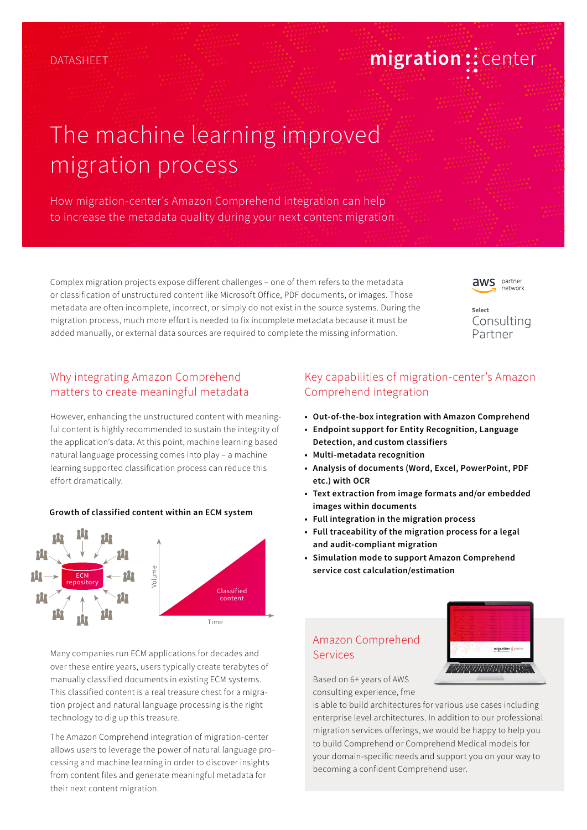# migration:: center

# The machine learning improved migration process

How migration-center's Amazon Comprehend integration can help to increase the metadata quality during your next content migration

Complex migration projects expose different challenges – one of them refers to the metadata or classification of unstructured content like Microsoft Office, PDF documents, or images. Those metadata are often incomplete, incorrect, or simply do not exist in the source systems. During the migration process, much more effort is needed to fix incomplete metadata because it must be added manually, or external data sources are required to complete the missing information.

**aws** partner network

Select Consulting Partner

## Why integrating Amazon Comprehend matters to create meaningful metadata

However, enhancing the unstructured content with meaningful content is highly recommended to sustain the integrity of the application's data. At this point, machine learning based natural language processing comes into play – a machine learning supported classification process can reduce this effort dramatically.

#### **Growth of classified content within an ECM system**



Many companies run ECM applications for decades and over these entire years, users typically create terabytes of manually classified documents in existing ECM systems. This classified content is a real treasure chest for a migration project and natural language processing is the right technology to dig up this treasure.

The Amazon Comprehend integration of migration-center allows users to leverage the power of natural language processing and machine learning in order to discover insights from content files and generate meaningful metadata for their next content migration.

# Key capabilities of migration-center's Amazon Comprehend integration

- **• Out-of-the-box integration with Amazon Comprehend**
- **• Endpoint support for Entity Recognition, Language Detection, and custom classifiers**
- **• Multi-metadata recognition**
- **• Analysis of documents (Word, Excel, PowerPoint, PDF etc.) with OCR**
- **• Text extraction from image formats and/or embedded images within documents**
- **• Full integration in the migration process**
- **• Full traceability of the migration process for a legal and audit-compliant migration**
- **• Simulation mode to support Amazon Comprehend service cost calculation/estimation**

## Amazon Comprehend Services



Based on 6+ years of AWS consulting experience, fme

is able to build architectures for various use cases including enterprise level architectures. In addition to our professional migration services offerings, we would be happy to help you to build Comprehend or Comprehend Medical models for your domain-specific needs and support you on your way to becoming a confident Comprehend user.